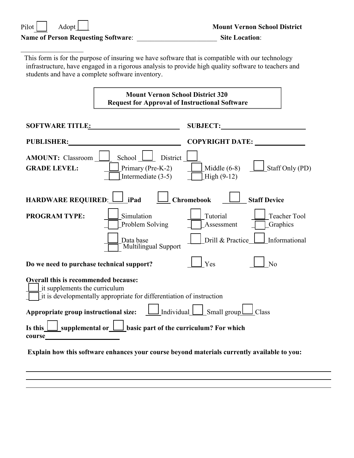| Pilot I | Adopt |
|---------|-------|
|---------|-------|

 $\mathcal{L}_\mathcal{L}$  , where  $\mathcal{L}_\mathcal{L}$  is the set of the set of the set of the set of the set of the set of the set of the set of the set of the set of the set of the set of the set of the set of the set of the set of the

## **Name of Person Requesting Software**: \_\_\_\_\_\_\_\_\_\_\_\_\_\_\_\_\_\_\_\_\_\_\_ **Site Location**:

This form is for the purpose of insuring we have software that is compatible with our technology infrastructure, have engaged in a rigorous analysis to provide high quality software to teachers and students and have a complete software inventory.

|                                                                                                                                                                                                                                | <b>Mount Vernon School District 320</b><br><b>Request for Approval of Instructional Software</b>                                                                  |                               |  |  |  |
|--------------------------------------------------------------------------------------------------------------------------------------------------------------------------------------------------------------------------------|-------------------------------------------------------------------------------------------------------------------------------------------------------------------|-------------------------------|--|--|--|
|                                                                                                                                                                                                                                | SUBJECT:<br>SOFTWARE TITLE: NAMEL AND THE SOFTWARE TITLE:                                                                                                         |                               |  |  |  |
| PUBLISHER:                                                                                                                                                                                                                     | <u> 1989 - Johann Barbara, martin amerikan ba</u>                                                                                                                 | COPYRIGHT DATE: _____________ |  |  |  |
| <b>AMOUNT:</b> Classroom<br><b>GRADE LEVEL:</b>                                                                                                                                                                                | School $\Box$<br>District<br>Middle $(6-8)$<br>$\vert$ Staff Only (PD)<br>Primary (Pre-K-2)<br>Intermediate $(3-5)$<br>$High(9-12)$                               |                               |  |  |  |
| HARDWARE REQUIRED: 1Pad                                                                                                                                                                                                        | $\Box$ Chromebook $\Box$<br><b>Staff Device</b>                                                                                                                   |                               |  |  |  |
| <b>PROGRAM TYPE:</b>                                                                                                                                                                                                           | Simulation<br>Tutorial<br><b>Teacher Tool</b><br>Problem Solving<br>Assessment<br><b>Graphics</b>                                                                 |                               |  |  |  |
|                                                                                                                                                                                                                                | Drill & Practice<br>Informational<br>Data base<br>Multilingual Support                                                                                            |                               |  |  |  |
| Do we need to purchase technical support?                                                                                                                                                                                      | Yes<br>No                                                                                                                                                         |                               |  |  |  |
| Overall this is recommended because:<br>it supplements the curriculum                                                                                                                                                          | it is developmentally appropriate for differentiation of instruction                                                                                              |                               |  |  |  |
|                                                                                                                                                                                                                                | <b>Appropriate group instructional size:</b> $\boxed{\underline{\qquad}}$ Individual $\boxed{\phantom{\qquad}}$ Small group $\boxed{\phantom{\qquad}}$<br>J Class |                               |  |  |  |
| course expression and the course of the set of the set of the set of the set of the set of the set of the set of the set of the set of the set of the set of the set of the set of the set of the set of the set of the set of | Is this $\boxed{\phantom{a}}$ supplemental or $\boxed{\phantom{a}}$ basic part of the curriculum? For which                                                       |                               |  |  |  |
|                                                                                                                                                                                                                                | Explain how this software enhances your course beyond materials currently available to you:                                                                       |                               |  |  |  |